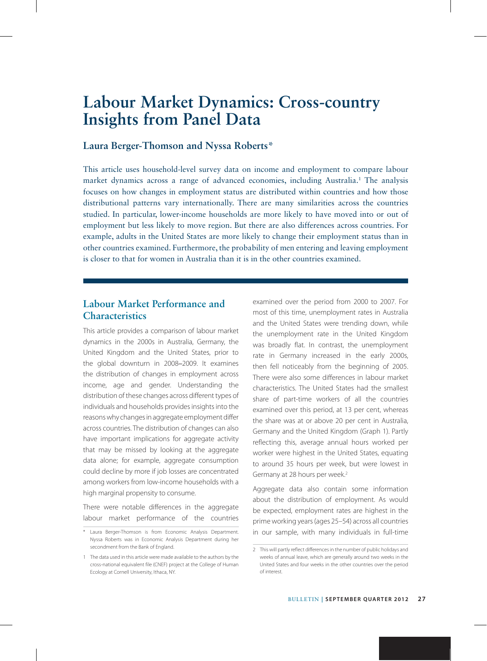# **Labour Market Dynamics: Cross-country Insights from Panel Data**

### **Laura Berger-Thomson and Nyssa Roberts\***

This article uses household-level survey data on income and employment to compare labour market dynamics across a range of advanced economies, including Australia.1 The analysis focuses on how changes in employment status are distributed within countries and how those distributional patterns vary internationally. There are many similarities across the countries studied. In particular, lower-income households are more likely to have moved into or out of employment but less likely to move region. But there are also differences across countries. For example, adults in the United States are more likely to change their employment status than in other countries examined. Furthermore, the probability of men entering and leaving employment is closer to that for women in Australia than it is in the other countries examined.

## **Labour Market Performance and Characteristics**

This article provides a comparison of labour market dynamics in the 2000s in Australia, Germany, the United Kingdom and the United States, prior to the global downturn in 2008–2009. It examines the distribution of changes in employment across income, age and gender. Understanding the distribution of these changes across different types of individuals and households provides insights into the reasons why changes in aggregate employment differ across countries. The distribution of changes can also have important implications for aggregate activity that may be missed by looking at the aggregate data alone; for example, aggregate consumption could decline by more if job losses are concentrated among workers from low-income households with a high marginal propensity to consume.

There were notable differences in the aggregate labour market performance of the countries examined over the period from 2000 to 2007. For most of this time, unemployment rates in Australia and the United States were trending down, while the unemployment rate in the United Kingdom was broadly flat. In contrast, the unemployment rate in Germany increased in the early 2000s, then fell noticeably from the beginning of 2005. There were also some differences in labour market characteristics. The United States had the smallest share of part-time workers of all the countries examined over this period, at 13 per cent, whereas the share was at or above 20 per cent in Australia, Germany and the United Kingdom (Graph 1). Partly reflecting this, average annual hours worked per worker were highest in the United States, equating to around 35 hours per week, but were lowest in Germany at 28 hours per week.<sup>2</sup>

Aggregate data also contain some information about the distribution of employment. As would be expected, employment rates are highest in the prime working years (ages 25–54) across all countries in our sample, with many individuals in full-time

<sup>\*</sup> Laura Berger-Thomson is from Economic Analysis Department. Nyssa Roberts was in Economic Analysis Department during her secondment from the Bank of England.

<sup>1</sup> The data used in this article were made available to the authors by the cross-national equivalent file (CNEF) project at the College of Human Ecology at Cornell University, Ithaca, NY.

<sup>2</sup> This will partly reflect differences in the number of public holidays and weeks of annual leave, which are generally around two weeks in the United States and four weeks in the other countries over the period of interest.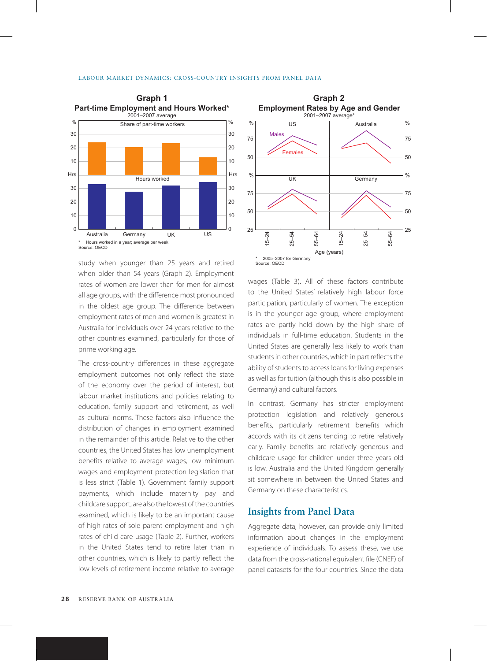

study when younger than 25 years and retired when older than 54 years (Graph 2). Employment rates of women are lower than for men for almost all age groups, with the difference most pronounced in the oldest age group. The difference between employment rates of men and women is greatest in Australia for individuals over 24 years relative to the other countries examined, particularly for those of prime working age.

The cross-country differences in these aggregate employment outcomes not only reflect the state of the economy over the period of interest, but labour market institutions and policies relating to education, family support and retirement, as well as cultural norms. These factors also influence the distribution of changes in employment examined in the remainder of this article. Relative to the other countries, the United States has low unemployment benefits relative to average wages, low minimum wages and employment protection legislation that is less strict (Table 1). Government family support payments, which include maternity pay and childcare support, are also the lowest of the countries examined, which is likely to be an important cause of high rates of sole parent employment and high rates of child care usage (Table 2). Further, workers in the United States tend to retire later than in other countries, which is likely to partly reflect the low levels of retirement income relative to average



wages (Table 3). All of these factors contribute to the United States' relatively high labour force participation, particularly of women. The exception is in the younger age group, where employment rates are partly held down by the high share of individuals in full-time education. Students in the United States are generally less likely to work than students in other countries, which in part reflects the ability of students to access loans for living expenses as well as for tuition (although this is also possible in Germany) and cultural factors.

In contrast, Germany has stricter employment protection legislation and relatively generous benefits, particularly retirement benefits which accords with its citizens tending to retire relatively early. Family benefits are relatively generous and childcare usage for children under three years old is low. Australia and the United Kingdom generally sit somewhere in between the United States and Germany on these characteristics.

## **Insights from Panel Data**

Aggregate data, however, can provide only limited information about changes in the employment experience of individuals. To assess these, we use data from the cross-national equivalent file (CNEF) of panel datasets for the four countries. Since the data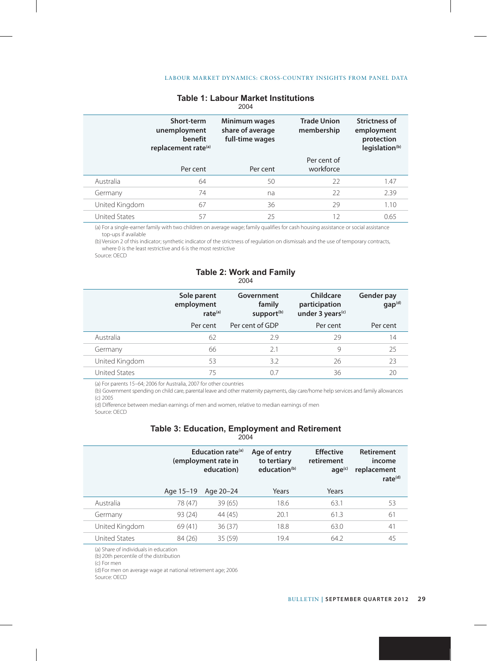|                | Short-term<br>unemployment<br>benefit<br>replacement rate <sup>(a)</sup> | Minimum wages<br>share of average<br>full-time wages | <b>Trade Union</b><br>membership | <b>Strictness of</b><br>employment<br>protection<br>legislation <sup>(b)</sup> |
|----------------|--------------------------------------------------------------------------|------------------------------------------------------|----------------------------------|--------------------------------------------------------------------------------|
|                | Per cent                                                                 | Per cent                                             | Per cent of<br>workforce         |                                                                                |
| Australia      | 64                                                                       | 50                                                   | 22                               | 1.47                                                                           |
| Germany        | 74                                                                       | na                                                   | 22                               | 2.39                                                                           |
| United Kingdom | 67                                                                       | 36                                                   | 29                               | 1.10                                                                           |
| United States  | 57                                                                       | 25                                                   | 12                               | 0.65                                                                           |

#### **Table 1: Labour Market Institutions** 2004

(a) For a single-earner family with two children on average wage; family qualifies for cash housing assistance or social assistance top-ups if available

(b) Version 2 of this indicator; synthetic indicator of the strictness of regulation on dismissals and the use of temporary contracts, where 0 is the least restrictive and 6 is the most restrictive

Source: OECD

## **Table 2: Work and Family**

|                      | Sole parent<br>employment<br>rate <sup>(a)</sup> | Government<br>family<br>support <sup>(b)</sup> | Childcare<br>participation<br>under 3 years <sup>(c)</sup> | Gender pay<br>gap <sup>(d)</sup> |
|----------------------|--------------------------------------------------|------------------------------------------------|------------------------------------------------------------|----------------------------------|
|                      | Per cent                                         | Per cent of GDP                                | Per cent                                                   | Per cent                         |
| Australia            | 62                                               | 29                                             | 29                                                         | 14                               |
| Germany              | 66                                               | 21                                             | 9                                                          | 25                               |
| United Kingdom       | 53                                               | 3.2                                            | 26                                                         | 23                               |
| <b>United States</b> | 75                                               | 0 7                                            | 36                                                         |                                  |

(a) For parents 15–64; 2006 for Australia, 2007 for other countries

(b) Government spending on child care, parental leave and other maternity payments, day care/home help services and family allowances (c) 2005

(d) Difference between median earnings of men and women, relative to median earnings of men Source: OECD

## **Table 3: Education, Employment and Retirement**

|--|

|                      | Education rate <sup>(a)</sup><br>(employment rate in<br>education) |           | Age of entry<br>to tertiary<br>education <sup>(b)</sup> | <b>Effective</b><br>retirement<br>age <sup>(c)</sup> | <b>Retirement</b><br>income<br>replacement<br>rate $(d)$ |
|----------------------|--------------------------------------------------------------------|-----------|---------------------------------------------------------|------------------------------------------------------|----------------------------------------------------------|
|                      | Age 15-19                                                          | Age 20-24 | Years                                                   | Years                                                |                                                          |
| Australia            | 78 (47)                                                            | 39(65)    | 18.6                                                    | 63.1                                                 | 53                                                       |
| Germany              | 93 (24)                                                            | 44 (45)   | 20.1                                                    | 61.3                                                 | 61                                                       |
| United Kingdom       | 69 (41)                                                            | 36(37)    | 18.8                                                    | 63.0                                                 | 41                                                       |
| <b>United States</b> | 84 (26)                                                            | 35(59)    | 19.4                                                    | 64.2                                                 | 45                                                       |

(a) Share of individuals in education

(b) 20th percentile of the distribution

(c) For men

(d) For men on average wage at national retirement age; 2006

Source: OECD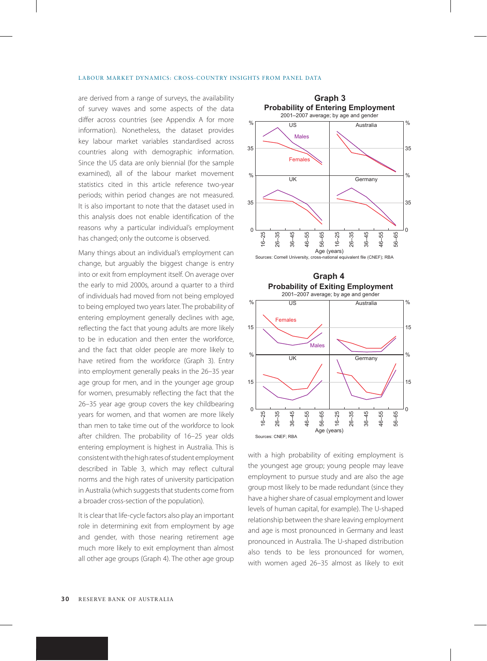#### Labour Market Dynamics: Cross-country Insights from Panel Data

are derived from a range of surveys, the availability of survey waves and some aspects of the data differ across countries (see Appendix A for more information). Nonetheless, the dataset provides key labour market variables standardised across countries along with demographic information. Since the US data are only biennial (for the sample examined), all of the labour market movement statistics cited in this article reference two-year periods; within period changes are not measured. It is also important to note that the dataset used in this analysis does not enable identification of the reasons why a particular individual's employment has changed; only the outcome is observed.

Many things about an individual's employment can change, but arguably the biggest change is entry into or exit from employment itself. On average over the early to mid 2000s, around a quarter to a third of individuals had moved from not being employed to being employed two years later. The probability of entering employment generally declines with age, reflecting the fact that young adults are more likely to be in education and then enter the workforce, and the fact that older people are more likely to have retired from the workforce (Graph 3). Entry into employment generally peaks in the 26–35 year age group for men, and in the younger age group for women, presumably reflecting the fact that the 26–35 year age group covers the key childbearing years for women, and that women are more likely than men to take time out of the workforce to look after children. The probability of 16–25 year olds entering employment is highest in Australia. This is consistent with the high rates of student employment described in Table 3, which may reflect cultural norms and the high rates of university participation in Australia (which suggests that students come from a broader cross-section of the population).

It is clear that life-cycle factors also play an important role in determining exit from employment by age and gender, with those nearing retirement age much more likely to exit employment than almost all other age groups (Graph 4). The other age group





with a high probability of exiting employment is the youngest age group; young people may leave employment to pursue study and are also the age group most likely to be made redundant (since they have a higher share of casual employment and lower levels of human capital, for example). The U-shaped relationship between the share leaving employment and age is most pronounced in Germany and least pronounced in Australia. The U-shaped distribution also tends to be less pronounced for women, with women aged 26–35 almost as likely to exit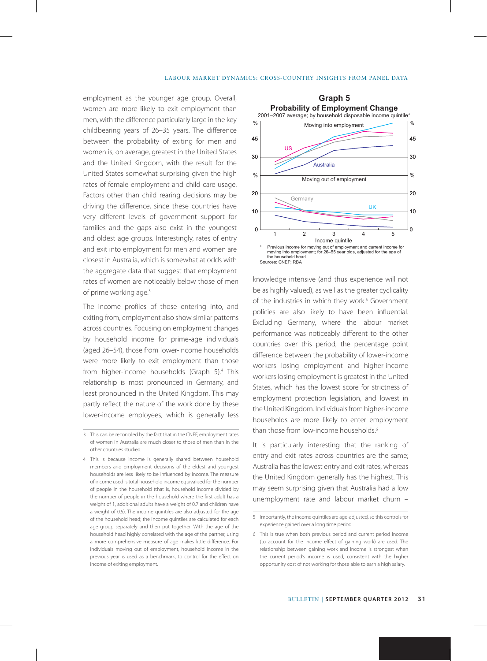employment as the younger age group. Overall, women are more likely to exit employment than men, with the difference particularly large in the key childbearing years of 26–35 years. The difference between the probability of exiting for men and women is, on average, greatest in the United States and the United Kingdom, with the result for the United States somewhat surprising given the high rates of female employment and child care usage. Factors other than child rearing decisions may be driving the difference, since these countries have very different levels of government support for families and the gaps also exist in the youngest and oldest age groups. Interestingly, rates of entry and exit into employment for men and women are closest in Australia, which is somewhat at odds with the aggregate data that suggest that employment rates of women are noticeably below those of men of prime working age.<sup>3</sup>

The income profiles of those entering into, and exiting from, employment also show similar patterns across countries. Focusing on employment changes by household income for prime-age individuals (aged 26–54), those from lower-income households were more likely to exit employment than those from higher-income households (Graph 5).4 This relationship is most pronounced in Germany, and least pronounced in the United Kingdom. This may partly reflect the nature of the work done by these lower-income employees, which is generally less



knowledge intensive (and thus experience will not be as highly valued), as well as the greater cyclicality of the industries in which they work.<sup>5</sup> Government policies are also likely to have been influential. Excluding Germany, where the labour market performance was noticeably different to the other countries over this period, the percentage point difference between the probability of lower-income workers losing employment and higher-income workers losing employment is greatest in the United States, which has the lowest score for strictness of employment protection legislation, and lowest in the United Kingdom. Individuals from higher-income households are more likely to enter employment than those from low-income households.<sup>6</sup>

It is particularly interesting that the ranking of entry and exit rates across countries are the same; Australia has the lowest entry and exit rates, whereas the United Kingdom generally has the highest. This may seem surprising given that Australia had a low unemployment rate and labour market churn –

<sup>3</sup> This can be reconciled by the fact that in the CNEF, employment rates of women in Australia are much closer to those of men than in the other countries studied.

<sup>4</sup> This is because income is generally shared between household members and employment decisions of the eldest and youngest households are less likely to be influenced by income. The measure of income used is total household income equivalised for the number of people in the household (that is, household income divided by the number of people in the household where the first adult has a weight of 1, additional adults have a weight of 0.7 and children have a weight of 0.5). The income quintiles are also adjusted for the age of the household head; the income quintiles are calculated for each age group separately and then put together. With the age of the household head highly correlated with the age of the partner, using a more comprehensive measure of age makes little difference. For individuals moving out of employment, household income in the previous year is used as a benchmark, to control for the effect on income of exiting employment.

<sup>5</sup> Importantly, the income quintiles are age-adjusted, so this controls for experience gained over a long time period.

<sup>6</sup> This is true when both previous period and current period income (to account for the income effect of gaining work) are used. The relationship between gaining work and income is strongest when the current period's income is used, consistent with the higher opportunity cost of not working for those able to earn a high salary.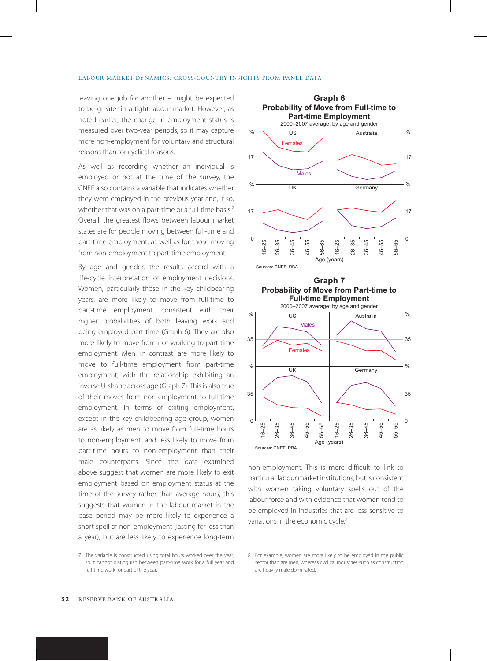#### Labour Market Dynamics: Cross-country Insights from Panel Data

leaving one job for another – might be expected to be greater in a tight labour market. However, as noted earlier, the change in employment status is measured over two-year periods, so it may capture more non-employment for voluntary and structural reasons than for cyclical reasons.

As well as recording whether an individual is employed or not at the time of the survey, the CNEF also contains a variable that indicates whether they were employed in the previous year and, if so, whether that was on a part-time or a full-time basis.<sup>7</sup> Overall, the greatest flows between labour market states are for people moving between full-time and part-time employment, as well as for those moving from non-employment to part-time employment.

By age and gender, the results accord with a life-cycle interpretation of employment decisions. Women, particularly those in the key childbearing years, are more likely to move from full-time to part-time employment, consistent with their higher probabilities of both leaving work and being employed part-time (Graph 6). They are also more likely to move from not working to part-time employment. Men, in contrast, are more likely to move to full-time employment from part-time employment, with the relationship exhibiting an inverse U-shape across age (Graph 7). This is also true of their moves from non-employment to full-time employment. In terms of exiting employment, except in the key childbearing age group, women are as likely as men to move from full-time hours to non-employment, and less likely to move from part-time hours to non-employment than their male counterparts. Since the data examined above suggest that women are more likely to exit employment based on employment status at the time of the survey rather than average hours, this suggests that women in the labour market in the base period may be more likely to experience a short spell of non-employment (lasting for less than a year), but are less likely to experience long-term

7 The variable is constructed using total hours worked over the year, so it cannot distinguish between part-time work for a full year and full-time work for part of the year.



non-employment. This is more difficult to link to  $\frac{1}{6}$  –  $\frac{1}{6}$ <br>Sources: CNEF; RBA<br>Sources: CNEF; RBA  $-35$ 36–45 46–55 56–65 16–25  $26-$ 36–45 46–55 56–65 Age (years)

0

particular labour market institutions, but is consistent with women taking voluntary spells out of the labour force and with evidence that women tend to be employed in industries that are less sensitive to variations in the economic cycle.<sup>8</sup>

<sup>8</sup> For example, women are more likely to be employed in the public sector than are men, whereas cyclical industries such as construction are heavily male dominated.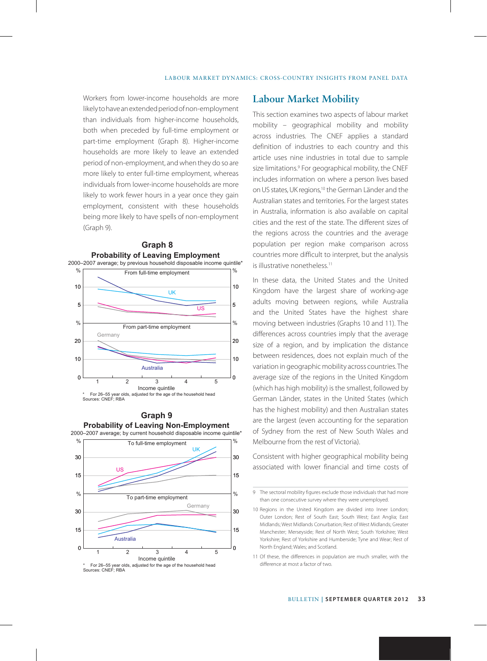Workers from lower-income households are more likely to have an extended period of non-employment than individuals from higher-income households, both when preceded by full-time employment or part-time employment (Graph 8). Higher-income households are more likely to leave an extended period of non-employment, and when they do so are more likely to enter full-time employment, whereas individuals from lower-income households are more likely to work fewer hours in a year once they gain employment, consistent with these households being more likely to have spells of non-employment (Graph 9).







\* For 26–55 year olds, adjusted for the age of the household head Sources: CNEF; RBA

### **Labour Market Mobility**

This section examines two aspects of labour market mobility – geographical mobility and mobility across industries. The CNEF applies a standard definition of industries to each country and this article uses nine industries in total due to sample size limitations.<sup>9</sup> For geographical mobility, the CNEF includes information on where a person lives based on US states, UK regions,10 the German Länder and the Australian states and territories. For the largest states in Australia, information is also available on capital cities and the rest of the state. The different sizes of the regions across the countries and the average population per region make comparison across countries more difficult to interpret, but the analysis is illustrative nonetheless<sup>11</sup>

In these data, the United States and the United Kingdom have the largest share of working-age adults moving between regions, while Australia and the United States have the highest share moving between industries (Graphs 10 and 11). The differences across countries imply that the average size of a region, and by implication the distance between residences, does not explain much of the variation in geographic mobility across countries. The average size of the regions in the United Kingdom (which has high mobility) is the smallest, followed by German Länder, states in the United States (which has the highest mobility) and then Australian states are the largest (even accounting for the separation of Sydney from the rest of New South Wales and Melbourne from the rest of Victoria).

Consistent with higher geographical mobility being associated with lower financial and time costs of

11 Of these, the differences in population are much smaller, with the difference at most a factor of two.

<sup>9</sup> The sectoral mobility figures exclude those individuals that had more than one consecutive survey where they were unemployed.

<sup>10</sup> Regions in the United Kingdom are divided into Inner London; Outer London; Rest of South East; South West; East Anglia; East Midlands; West Midlands Conurbation; Rest of West Midlands; Greater Manchester; Merseyside; Rest of North West; South Yorkshire; West Yorkshire; Rest of Yorkshire and Humberside; Tyne and Wear; Rest of North England; Wales; and Scotland.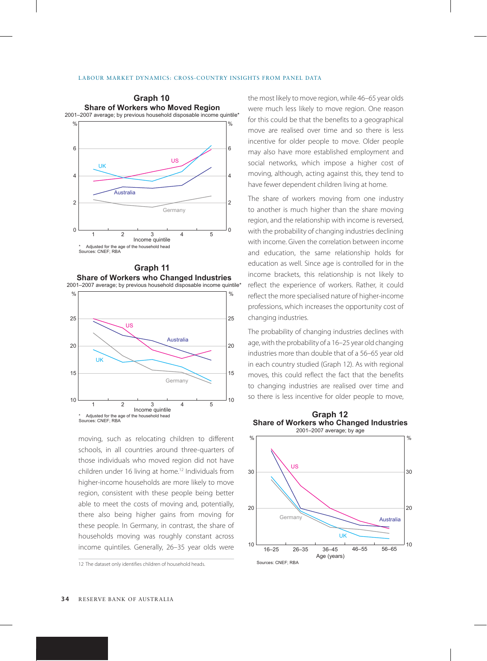

**Graph 11** 10 15 20 25 10 15 20 25 **Share of Workers who Changed Industries** 2001–2007 average; by previous household disposable income quintile\* Adiusted for the age of the household head Sources: CNEF: RBA  $\overline{5}$ US  $\%$   $\%$ Australia **Germany** UK 1 2 3 4 Income quintile

moving, such as relocating children to different schools, in all countries around three-quarters of those individuals who moved region did not have children under 16 living at home.<sup>12</sup> Individuals from higher-income households are more likely to move region, consistent with these people being better able to meet the costs of moving and, potentially, there also being higher gains from moving for these people. In Germany, in contrast, the share of households moving was roughly constant across income quintiles. Generally, 26–35 year olds were

12 The dataset only identifies children of household heads.

the most likely to move region, while 46–65 year olds were much less likely to move region. One reason for this could be that the benefits to a geographical move are realised over time and so there is less incentive for older people to move. Older people may also have more established employment and social networks, which impose a higher cost of moving, although, acting against this, they tend to have fewer dependent children living at home.

The share of workers moving from one industry to another is much higher than the share moving region, and the relationship with income is reversed, with the probability of changing industries declining with income. Given the correlation between income and education, the same relationship holds for education as well. Since age is controlled for in the income brackets, this relationship is not likely to reflect the experience of workers. Rather, it could reflect the more specialised nature of higher-income professions, which increases the opportunity cost of changing industries.

The probability of changing industries declines with age, with the probability of a 16–25 year old changing industries more than double that of a 56–65 year old in each country studied (Graph 12). As with regional moves, this could reflect the fact that the benefits to changing industries are realised over time and so there is less incentive for older people to move,



**Graph 12 Share of Workers who Changed Industries**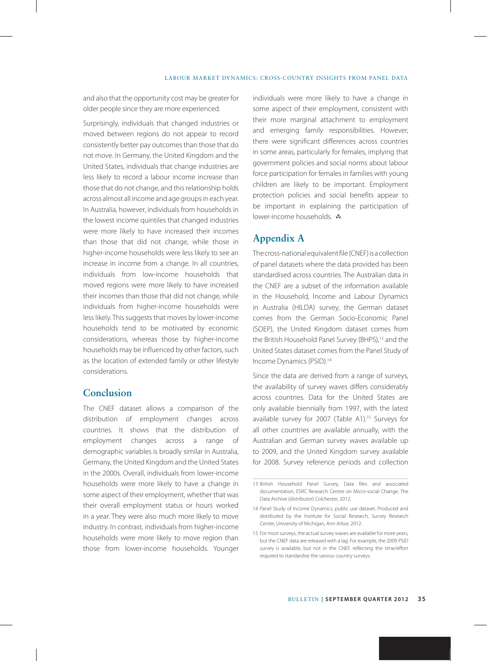and also that the opportunity cost may be greater for older people since they are more experienced.

Surprisingly, individuals that changed industries or moved between regions do not appear to record consistently better pay outcomes than those that do not move. In Germany, the United Kingdom and the United States, individuals that change industries are less likely to record a labour income increase than those that do not change, and this relationship holds across almost all income and age groups in each year. In Australia, however, individuals from households in the lowest income quintiles that changed industries were more likely to have increased their incomes than those that did not change, while those in higher-income households were less likely to see an increase in income from a change. In all countries, individuals from low-income households that moved regions were more likely to have increased their incomes than those that did not change, while individuals from higher-income households were less likely. This suggests that moves by lower-income households tend to be motivated by economic considerations, whereas those by higher-income households may be influenced by other factors, such as the location of extended family or other lifestyle considerations.

## **Conclusion**

The CNEF dataset allows a comparison of the distribution of employment changes across countries. It shows that the distribution of employment changes across a range of demographic variables is broadly similar in Australia, Germany, the United Kingdom and the United States in the 2000s. Overall, individuals from lower-income households were more likely to have a change in some aspect of their employment, whether that was their overall employment status or hours worked in a year. They were also much more likely to move industry. In contrast, individuals from higher-income households were more likely to move region than those from lower-income households. Younger individuals were more likely to have a change in some aspect of their employment, consistent with their more marginal attachment to employment and emerging family responsibilities. However, there were significant differences across countries in some areas, particularly for females, implying that government policies and social norms about labour force participation for females in families with young children are likely to be important. Employment protection policies and social benefits appear to be important in explaining the participation of lower-income households. R

## **Appendix A**

The cross-national equivalent file (CNEF) is a collection of panel datasets where the data provided has been standardised across countries. The Australian data in the CNEF are a subset of the information available in the Household, Income and Labour Dynamics in Australia (HILDA) survey, the German dataset comes from the German Socio-Economic Panel (SOEP), the United Kingdom dataset comes from the British Household Panel Survey (BHPS),<sup>13</sup> and the United States dataset comes from the Panel Study of Income Dynamics (PSID).14

Since the data are derived from a range of surveys, the availability of survey waves differs considerably across countries. Data for the United States are only available biennially from 1997, with the latest available survey for 2007 (Table A1).<sup>15</sup> Surveys for all other countries are available annually, with the Australian and German survey waves available up to 2009, and the United Kingdom survey available for 2008. Survey reference periods and collection

<sup>13</sup> British Household Panel Survey, Data files and associated documentation, ESRC Research Centre on Micro-social Change, The Data Archive (distributor) Colchester, 2012.

<sup>14</sup> Panel Study of Income Dynamics, public use dataset. Produced and distributed by the Institute for Social Research, Survey Research Center, University of Michigan, Ann Arbor, 2012.

<sup>15</sup> For most surveys, the actual survey waves are available for more years, but the CNEF data are released with a lag. For example, the 2009 PSID survey is available, but not in the CNEF, reflecting the time/effort required to standardise the various country surveys.